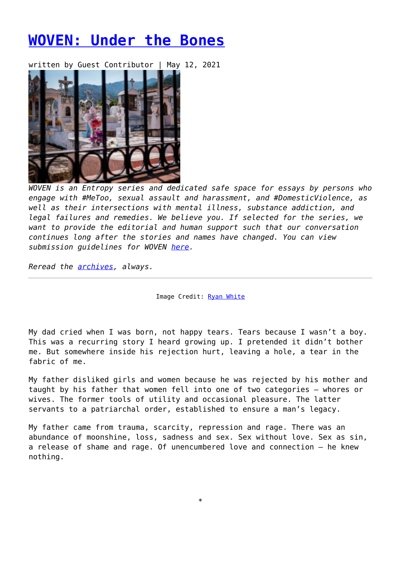## **[WOVEN: Under the Bones](https://entropymag.org/woven-under-the-bones/)**

written by Guest Contributor | May 12, 2021



*WOVEN is an Entropy series and dedicated safe space for essays by persons who engage with #MeToo, sexual assault and harassment, and #DomesticViolence, as well as their intersections with mental illness, substance addiction, and legal failures and remedies. We believe you. If selected for the series, we want to provide the editorial and human support such that our conversation continues long after the stories and names have changed. You can view submission guidelines for WOVEN [here.](https://entropymag.org/woven-call-for-submissions/)*

*Reread the [archives](https://entropymag.org/tag/woven/), always.* 

Image Credit: [Ryan White](http://memoryandmeaning.com)

My dad cried when I was born, not happy tears. Tears because I wasn't a boy. This was a recurring story I heard growing up. I pretended it didn't bother me. But somewhere inside his rejection hurt, leaving a hole, a tear in the fabric of me.

My father disliked girls and women because he was rejected by his mother and taught by his father that women fell into one of two categories – whores or wives. The former tools of utility and occasional pleasure. The latter servants to a patriarchal order, established to ensure a man's legacy.

My father came from trauma, scarcity, repression and rage. There was an abundance of moonshine, loss, sadness and sex. Sex without love. Sex as sin, a release of shame and rage. Of unencumbered love and connection – he knew nothing.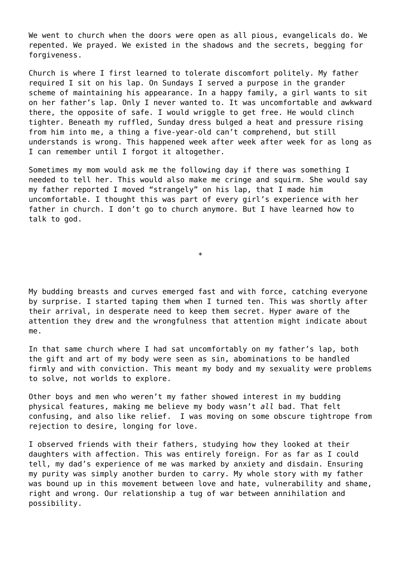We went to church when the doors were open as all pious, evangelicals do. We repented. We prayed. We existed in the shadows and the secrets, begging for forgiveness.

Church is where I first learned to tolerate discomfort politely. My father required I sit on his lap. On Sundays I served a purpose in the grander scheme of maintaining his appearance. In a happy family, a girl wants to sit on her father's lap. Only I never wanted to. It was uncomfortable and awkward there, the opposite of safe. I would wriggle to get free. He would clinch tighter. Beneath my ruffled, Sunday dress bulged a heat and pressure rising from him into me, a thing a five-year-old can't comprehend, but still understands is wrong. This happened week after week after week for as long as I can remember until I forgot it altogether.

Sometimes my mom would ask me the following day if there was something I needed to tell her. This would also make me cringe and squirm. She would say my father reported I moved "strangely" on his lap, that I made him uncomfortable. I thought this was part of every girl's experience with her father in church. I don't go to church anymore. But I have learned how to talk to god.

My budding breasts and curves emerged fast and with force, catching everyone by surprise. I started taping them when I turned ten. This was shortly after their arrival, in desperate need to keep them secret. Hyper aware of the attention they drew and the wrongfulness that attention might indicate about me.

\*

In that same church where I had sat uncomfortably on my father's lap, both the gift and art of my body were seen as sin, abominations to be handled firmly and with conviction. This meant my body and my sexuality were problems to solve, not worlds to explore.

Other boys and men who weren't my father showed interest in my budding physical features, making me believe my body wasn't *all* bad. That felt confusing, and also like relief. I was moving on some obscure tightrope from rejection to desire, longing for love.

I observed friends with their fathers, studying how they looked at their daughters with affection. This was entirely foreign. For as far as I could tell, my dad's experience of me was marked by anxiety and disdain. Ensuring my purity was simply another burden to carry. My whole story with my father was bound up in this movement between love and hate, vulnerability and shame, right and wrong. Our relationship a tug of war between annihilation and possibility.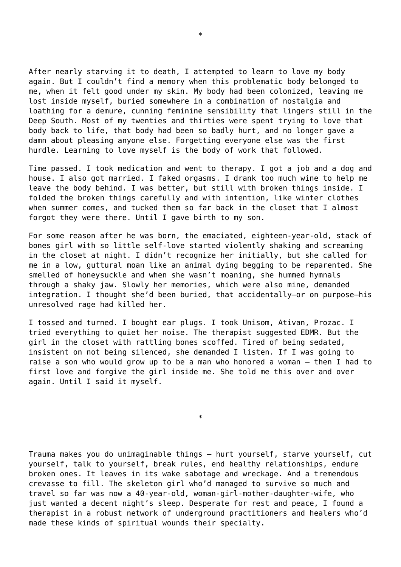After nearly starving it to death, I attempted to learn to love my body again. But I couldn't find a memory when this problematic body belonged to me, when it felt good under my skin. My body had been colonized, leaving me lost inside myself, buried somewhere in a combination of nostalgia and loathing for a demure, cunning feminine sensibility that lingers still in the Deep South. Most of my twenties and thirties were spent trying to love that body back to life, that body had been so badly hurt, and no longer gave a damn about pleasing anyone else. Forgetting everyone else was the first hurdle. Learning to love myself is the body of work that followed.

Time passed. I took medication and went to therapy. I got a job and a dog and house. I also got married. I faked orgasms. I drank too much wine to help me leave the body behind. I was better, but still with broken things inside. I folded the broken things carefully and with intention, like winter clothes when summer comes, and tucked them so far back in the closet that I almost forgot they were there. Until I gave birth to my son.

For some reason after he was born, the emaciated, eighteen-year-old, stack of bones girl with so little self-love started violently shaking and screaming in the closet at night. I didn't recognize her initially, but she called for me in a low, guttural moan like an animal dying begging to be reparented. She smelled of honeysuckle and when she wasn't moaning, she hummed hymnals through a shaky jaw. Slowly her memories, which were also mine, demanded integration. I thought she'd been buried, that accidentally–or on purpose–his unresolved rage had killed her.

I tossed and turned. I bought ear plugs. I took Unisom, Ativan, Prozac. I tried everything to quiet her noise. The therapist suggested EDMR. But the girl in the closet with rattling bones scoffed. Tired of being sedated, insistent on not being silenced, she demanded I listen. If I was going to raise a son who would grow up to be a man who honored a woman – then I had to first love and forgive the girl inside me. She told me this over and over again. Until I said it myself.

\*

Trauma makes you do unimaginable things – hurt yourself, starve yourself, cut yourself, talk to yourself, break rules, end healthy relationships, endure broken ones. It leaves in its wake sabotage and wreckage. And a tremendous crevasse to fill. The skeleton girl who'd managed to survive so much and travel so far was now a 40-year-old, woman-girl-mother-daughter-wife, who just wanted a decent night's sleep. Desperate for rest and peace, I found a therapist in a robust network of underground practitioners and healers who'd made these kinds of spiritual wounds their specialty.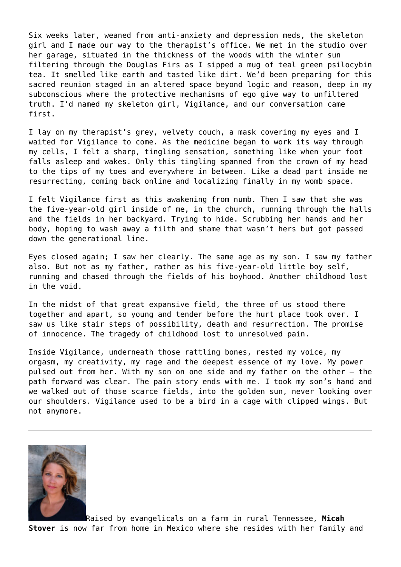Six weeks later, weaned from anti-anxiety and depression meds, the skeleton girl and I made our way to the therapist's office. We met in the studio over her garage, situated in the thickness of the woods with the winter sun filtering through the Douglas Firs as I sipped a mug of teal green psilocybin tea. It smelled like earth and tasted like dirt. We'd been preparing for this sacred reunion staged in an altered space beyond logic and reason, deep in my subconscious where the protective mechanisms of ego give way to unfiltered truth. I'd named my skeleton girl, Vigilance, and our conversation came first.

I lay on my therapist's grey, velvety couch, a mask covering my eyes and I waited for Vigilance to come. As the medicine began to work its way through my cells, I felt a sharp, tingling sensation, something like when your foot falls asleep and wakes. Only this tingling spanned from the crown of my head to the tips of my toes and everywhere in between. Like a dead part inside me resurrecting, coming back online and localizing finally in my womb space.

I felt Vigilance first as this awakening from numb. Then I saw that she was the five-year-old girl inside of me, in the church, running through the halls and the fields in her backyard. Trying to hide. Scrubbing her hands and her body, hoping to wash away a filth and shame that wasn't hers but got passed down the generational line.

Eyes closed again; I saw her clearly. The same age as my son. I saw my father also. But not as my father, rather as his five-year-old little boy self, running and chased through the fields of his boyhood. Another childhood lost in the void.

In the midst of that great expansive field, the three of us stood there together and apart, so young and tender before the hurt place took over. I saw us like stair steps of possibility, death and resurrection. The promise of innocence. The tragedy of childhood lost to unresolved pain.

Inside Vigilance, underneath those rattling bones, rested my voice, my orgasm, my creativity, my rage and the deepest essence of my love. My power pulsed out from her. With my son on one side and my father on the other – the path forward was clear. The pain story ends with me. I took my son's hand and we walked out of those scarce fields, into the golden sun, never looking over our shoulders. Vigilance used to be a bird in a cage with clipped wings. But not anymore.



Raised by evangelicals on a farm in rural Tennessee, **Micah Stover** is now far from home in Mexico where she resides with her family and